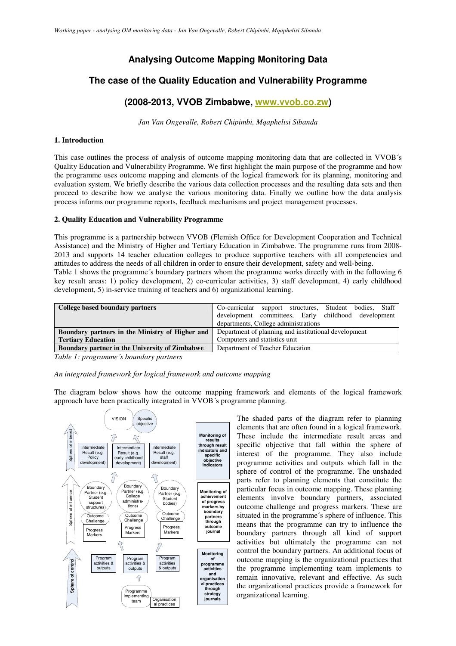# **Analysing Outcome Mapping Monitoring Data**

# **The case of the Quality Education and Vulnerability Programme**

# **(2008-2013, VVOB Zimbabwe, www.vvob.co.zw)**

*Jan Van Ongevalle, Robert Chipimbi, Mqaphelisi Sibanda*

# **1. Introduction**

This case outlines the process of analysis of outcome mapping monitoring data that are collected in VVOB´s Quality Education and Vulnerability Programme. We first highlight the main purpose of the programme and how the programme uses outcome mapping and elements of the logical framework for its planning, monitoring and evaluation system. We briefly describe the various data collection processes and the resulting data sets and then proceed to describe how we analyse the various monitoring data. Finally we outline how the data analysis process informs our programme reports, feedback mechanisms and project management processes.

### **2. Quality Education and Vulnerability Programme**

This programme is a partnership between VVOB (Flemish Office for Development Cooperation and Technical Assistance) and the Ministry of Higher and Tertiary Education in Zimbabwe. The programme runs from 2008- 2013 and supports 14 teacher education colleges to produce supportive teachers with all competencies and attitudes to address the needs of all children in order to ensure their development, safety and well-being. Table 1 shows the programme´s boundary partners whom the programme works directly with in the following 6 key result areas: 1) policy development, 2) co-curricular activities, 3) staff development, 4) early childhood development, 5) in-service training of teachers and 6) organizational learning.

| College based boundary partners                       | Co-curricular<br>support structures, Student bodies, Staff |  |  |  |
|-------------------------------------------------------|------------------------------------------------------------|--|--|--|
|                                                       | development committees, Early childhood development        |  |  |  |
|                                                       | departments, College administrations                       |  |  |  |
| Boundary partners in the Ministry of Higher and       | Department of planning and institutional development       |  |  |  |
| <b>Tertiary Education</b>                             | Computers and statistics unit                              |  |  |  |
| <b>Boundary partner in the University of Zimbabwe</b> | Department of Teacher Education                            |  |  |  |

*Table 1: programme´s boundary partners*

### *An integrated framework for logical framework and outcome mapping*

The diagram below shows how the outcome mapping framework and elements of the logical framework approach have been practically integrated in VVOB´s programme planning.



The shaded parts of the diagram refer to planning elements that are often found in a logical framework. These include the intermediate result areas and specific objective that fall within the sphere of interest of the programme. They also include programme activities and outputs which fall in the sphere of control of the programme. The unshaded parts refer to planning elements that constitute the particular focus in outcome mapping. These planning elements involve boundary partners, associated outcome challenge and progress markers. These are situated in the programme´s sphere of influence. This means that the programme can try to influence the boundary partners through all kind of support activities but ultimately the programme can not control the boundary partners. An additional focus of outcome mapping is the organizational practices that the programme implementing team implements to remain innovative, relevant and effective. As such the organizational practices provide a framework for organizational learning.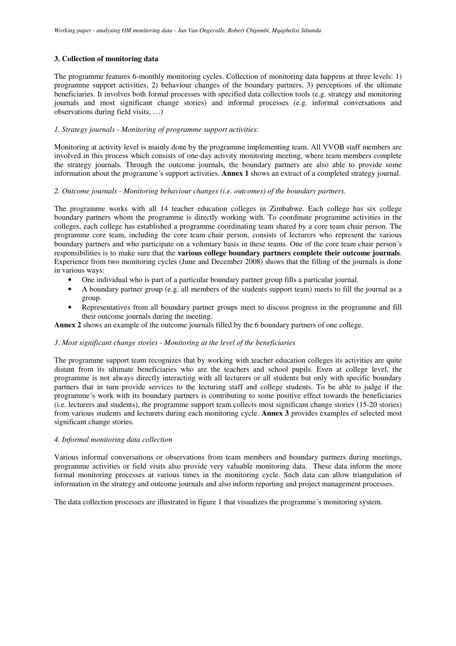# **3. Collection of monitoring data**

The programme features 6-monthly monitoring cycles. Collection of monitoring data happens at three levels: 1) programme support activities, 2) behaviour changes of the boundary partners, 3) perceptions of the ultimate beneficiaries. It involves both formal processes with specified data collection tools (e.g. strategy and monitoring journals and most significant change stories) and informal processes (e.g. informal conversations and observations during field visits, …)

# *1. Strategy journals - Monitoring of programme support activities:*

Monitoring at activity level is mainly done by the programme implementing team. All VVOB staff members are involved in this process which consists of one-day activity monitoring meeting, where team members complete the strategy journals. Through the outcome journals, the boundary partners are also able to provide some information about the programme´s support activities. **Annex 1** shows an extract of a completed strategy journal.

# *2. Outcome journals - Monitoring behaviour changes (i.e. outcomes) of the boundary partners.*

The programme works with all 14 teacher education colleges in Zimbabwe. Each college has six college boundary partners whom the programme is directly working with. To coordinate programme activities in the colleges, each college has established a programme coordinating team shared by a core team chair person. The programme core team, including the core team chair person, consists of lecturers who represent the various boundary partners and who participate on a voluntary basis in these teams. One of the core team chair person´s responsibilities is to make sure that the **various college boundary partners complete their outcome journals**. Experience from two monitoring cycles (June and December 2008) shows that the filling of the journals is done in various ways:

- One individual who is part of a particular boundary partner group fills a particular journal.
- A boundary partner group (e.g. all members of the students support team) meets to fill the journal as a group.
- Representatives from all boundary partner groups meet to discuss progress in the programme and fill their outcome journals during the meeting.

**Annex 2** shows an example of the outcome journals filled by the 6 boundary partners of one college.

## *3. Most significant change stories - Monitoring at the level of the beneficiaries*

The programme support team recognizes that by working with teacher education colleges its activities are quite distant from its ultimate beneficiaries who are the teachers and school pupils. Even at college level, the programme is not always directly interacting with all lecturers or all students but only with specific boundary partners that in turn provide services to the lecturing staff and college students. To be able to judge if the programme´s work with its boundary partners is contributing to some positive effect towards the beneficiaries (i.e. lecturers and students), the programme support team collects most significant change stories (15-20 stories) from various students and lecturers during each monitoring cycle. **Annex 3** provides examples of selected most significant change stories.

# *4. Informal monitoring data collection*

Various informal conversations or observations from team members and boundary partners during meetings, programme activities or field visits also provide very valuable monitoring data. These data inform the more formal monitoring processes at various times in the monitoring cycle. Such data can allow triangulation of information in the strategy and outcome journals and also inform reporting and project management processes.

The data collection processes are illustrated in figure 1 that visualizes the programme´s monitoring system.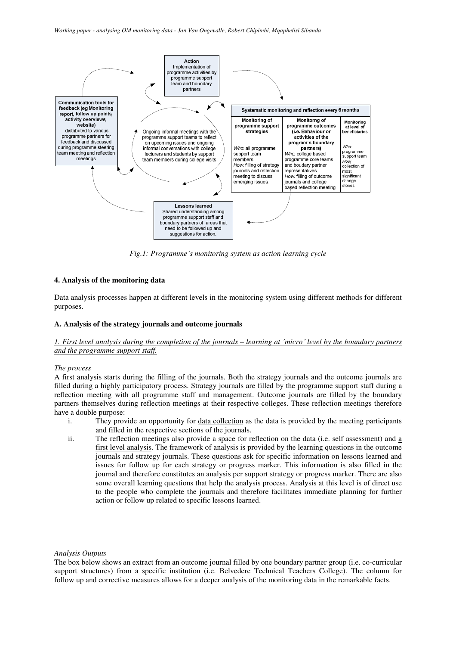

*Fig.1: Programme´s monitoring system as action learning cycle*

# **4. Analysis of the monitoring data**

Data analysis processes happen at different levels in the monitoring system using different methods for different purposes.

### **A. Analysis of the strategy journals and outcome journals**

# 1. First level analysis during the completion of the journals – learning at 'micro' level by the boundary partners *and the programme support staff.*

#### *The process*

A first analysis starts during the filling of the journals. Both the strategy journals and the outcome journals are filled during a highly participatory process. Strategy journals are filled by the programme support staff during a reflection meeting with all programme staff and management. Outcome journals are filled by the boundary partners themselves during reflection meetings at their respective colleges. These reflection meetings therefore have a double purpose:

- i. They provide an opportunity for data collection as the data is provided by the meeting participants and filled in the respective sections of the journals.
- ii. The reflection meetings also provide a space for reflection on the data (i.e. self assessment) and a first level analysis. The framework of analysis is provided by the learning questions in the outcome journals and strategy journals. These questions ask for specific information on lessons learned and issues for follow up for each strategy or progress marker. This information is also filled in the journal and therefore constitutes an analysis per support strategy or progress marker. There are also some overall learning questions that help the analysis process. Analysis at this level is of direct use to the people who complete the journals and therefore facilitates immediate planning for further action or follow up related to specific lessons learned.

### *Analysis Outputs*

The box below shows an extract from an outcome journal filled by one boundary partner group (i.e. co-curricular support structures) from a specific institution (i.e. Belvedere Technical Teachers College). The column for follow up and corrective measures allows for a deeper analysis of the monitoring data in the remarkable facts.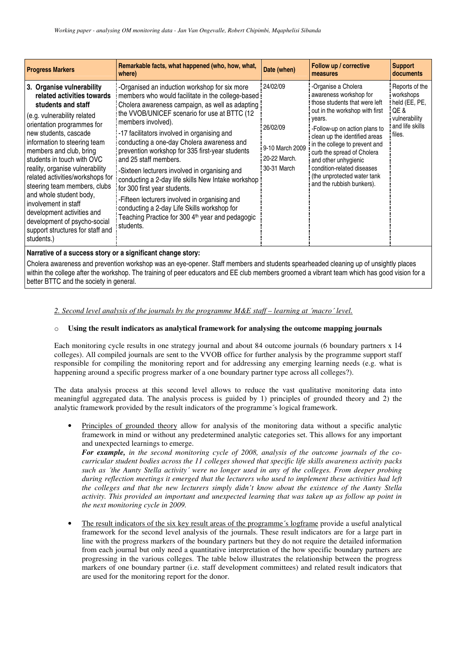| <b>Progress Markers</b>                                                                                                                                                                                                                                                                                                                                                                                                                                                                                                                | Remarkable facts, what happened (who, how, what,<br>where)                                                                                                                                                                                                                                                                                                                                                                                                                                                                                                                                                                                                                                                   | Date (when)                                                            | Follow up / corrective<br>measures                                                                                                                                                                                                                                                                                                                                             | <b>Support</b><br>documents                                                                       |  |  |  |
|----------------------------------------------------------------------------------------------------------------------------------------------------------------------------------------------------------------------------------------------------------------------------------------------------------------------------------------------------------------------------------------------------------------------------------------------------------------------------------------------------------------------------------------|--------------------------------------------------------------------------------------------------------------------------------------------------------------------------------------------------------------------------------------------------------------------------------------------------------------------------------------------------------------------------------------------------------------------------------------------------------------------------------------------------------------------------------------------------------------------------------------------------------------------------------------------------------------------------------------------------------------|------------------------------------------------------------------------|--------------------------------------------------------------------------------------------------------------------------------------------------------------------------------------------------------------------------------------------------------------------------------------------------------------------------------------------------------------------------------|---------------------------------------------------------------------------------------------------|--|--|--|
| 3. Organise vulnerability<br>related activities towards<br>students and staff<br>(e.g. vulnerability related<br>orientation programmes for<br>new students, cascade<br>information to steering team<br>members and club, bring<br>students in touch with OVC<br>reality, organise vulnerability<br>related activities/workshops for<br>steering team members, clubs<br>and whole student body,<br>involvement in staff<br>development activities and<br>development of psycho-social<br>support structures for staff and<br>students.) | -Organised an induction workshop for six more<br>members who would facilitate in the college-based<br>Cholera awareness campaign, as well as adapting<br>the VVOB/UNICEF scenario for use at BTTC (12<br>members involved).<br>-17 facilitators involved in organising and<br>conducting a one-day Cholera awareness and<br>prevention workshop for 335 first-year students<br>and 25 staff members.<br>-Sixteen lecturers involved in organising and<br>conducting a 2-day life skills New Intake workshop<br>for 300 first year students.<br>-Fifteen lecturers involved in organising and<br>conducting a 2-day Life Skills workshop for<br>Teaching Practice for 300 4th year and pedagogic<br>students. | 24/02/09<br>26/02/09<br>9-10 March 2009<br>20-22 March.<br>30-31 March | -Organise a Cholera<br>awareness workshop for<br>those students that were left<br>out in the workshop with first<br>years.<br>-Follow-up on action plans to<br>clean up the identified areas<br>in the college to prevent and<br>curb the spread of Cholera<br>and other unhygienic<br>condition-related diseases<br>(the unprotected water tank)<br>and the rubbish bunkers). | Reports of the<br>workshops<br>held (EE, PE,<br>QE&<br>vulnerability<br>and life skills<br>files. |  |  |  |
| Narrative of a success story or a significant change story:                                                                                                                                                                                                                                                                                                                                                                                                                                                                            |                                                                                                                                                                                                                                                                                                                                                                                                                                                                                                                                                                                                                                                                                                              |                                                                        |                                                                                                                                                                                                                                                                                                                                                                                |                                                                                                   |  |  |  |

Cholera awareness and prevention workshop was an eye-opener. Staff members and students spearheaded cleaning up of unsightly places within the college after the workshop. The training of peer educators and EE club members groomed a vibrant team which has good vision for a better BTTC and the society in general.

# *2. Second level analysis of the journals by the programme M&E staff – learning at ´macro´ level.*

# o **Using the result indicators as analytical framework for analysing the outcome mapping journals**

Each monitoring cycle results in one strategy journal and about 84 outcome journals (6 boundary partners x 14 colleges). All compiled journals are sent to the VVOB office for further analysis by the programme support staff responsible for compiling the monitoring report and for addressing any emerging learning needs (e.g. what is happening around a specific progress marker of a one boundary partner type across all colleges?).

The data analysis process at this second level allows to reduce the vast qualitative monitoring data into meaningful aggregated data. The analysis process is guided by 1) principles of grounded theory and 2) the analytic framework provided by the result indicators of the programme´s logical framework.

• Principles of grounded theory allow for analysis of the monitoring data without a specific analytic framework in mind or without any predetermined analytic categories set. This allows for any important and unexpected learnings to emerge.

*For example, in the second monitoring cycle of 2008, analysis of the outcome journals of the cocurricular student bodies across the 11 colleges showed that specific life skills awareness activity packs* such as 'the Aunty Stella activity' were no longer used in any of the colleges. From deeper probing *during reflection meetings it emerged that the lecturers who used to implement these activities had left the colleges and that the new lecturers simply didn't know about the existence of the Aunty Stella activity. This provided an important and unexpected learning that was taken up as follow up point in the next monitoring cycle in 2009.*

• The result indicators of the six key result areas of the programme´s logframe provide a useful analytical framework for the second level analysis of the journals. These result indicators are for a large part in line with the progress markers of the boundary partners but they do not require the detailed information from each journal but only need a quantitative interpretation of the how specific boundary partners are progressing in the various colleges. The table below illustrates the relationship between the progress markers of one boundary partner (i.e. staff development committees) and related result indicators that are used for the monitoring report for the donor.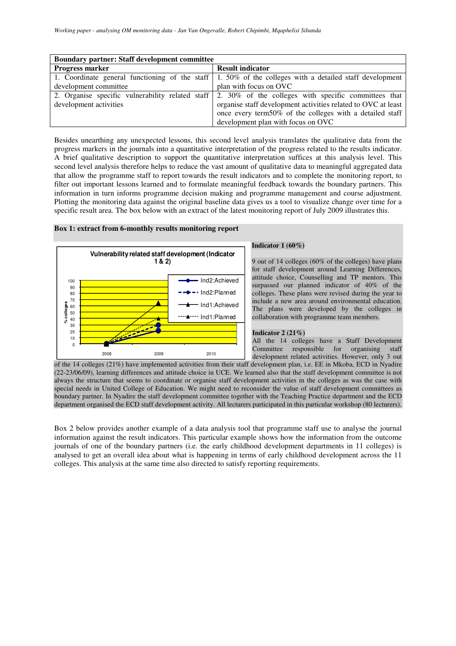| <b>Boundary partner: Staff development committee</b> |                                                                                                                |  |  |  |
|------------------------------------------------------|----------------------------------------------------------------------------------------------------------------|--|--|--|
| Progress marker                                      | <b>Result indicator</b>                                                                                        |  |  |  |
|                                                      | 1. Coordinate general functioning of the staff $\vert$ 1.50% of the colleges with a detailed staff development |  |  |  |
| development committee                                | plan with focus on OVC                                                                                         |  |  |  |
|                                                      | 2. Organise specific vulnerability related staff 2. 30% of the colleges with specific committees that          |  |  |  |
| development activities                               | organise staff development activities related to OVC at least                                                  |  |  |  |
|                                                      | once every term50% of the colleges with a detailed staff                                                       |  |  |  |
|                                                      | development plan with focus on OVC                                                                             |  |  |  |

Besides unearthing any unexpected lessons, this second level analysis translates the qualitative data from the progress markers in the journals into a quantitative interpretation of the progress related to the results indicator. A brief qualitative description to support the quantitative interpretation suffices at this analysis level. This second level analysis therefore helps to reduce the vast amount of qualitative data to meaningful aggregated data that allow the programme staff to report towards the result indicators and to complete the monitoring report, to filter out important lessons learned and to formulate meaningful feedback towards the boundary partners. This information in turn informs programme decision making and programme management and course adjustment. Plotting the monitoring data against the original baseline data gives us a tool to visualize change over time for a specific result area. The box below with an extract of the latest monitoring report of July 2009 illustrates this.

### **Box 1: extract from 6-monthly results monitoring report**



### **Indicator 1 (60%)**

9 out of 14 colleges (60% of the colleges) have plans for staff development around Learning Differences, attitude choice, Counselling and TP mentors. This surpassed our planned indicator of 40% of the colleges. These plans were revised during the year to include a new area around environmental education. The plans were developed by the colleges in collaboration with programme team members.

#### **Indicator 2 (21%)**

All the 14 colleges have a Staff Development Committee responsible for organising staff development related activities. However, only 3 out

of the 14 colleges (21%) have implemented activities from their staff development plan, i.e. EE in Mkoba, ECD in Nyadire (22-23/06/09), learning differences and attitude choice in UCE. We learned also that the staff development committee is not always the structure that seems to coordinate or organise staff development activities in the colleges as was the case with special needs in United College of Education. We might need to reconsider the value of staff development committees as boundary partner. In Nyadire the staff development committee together with the Teaching Practice department and the ECD department organised the ECD staff development activity. All lecturers participated in this particular workshop (80 lecturers).

Box 2 below provides another example of a data analysis tool that programme staff use to analyse the journal information against the result indicators. This particular example shows how the information from the outcome journals of one of the boundary partners (i.e. the early childhood development departments in 11 colleges) is analysed to get an overall idea about what is happening in terms of early childhood development across the 11 colleges. This analysis at the same time also directed to satisfy reporting requirements.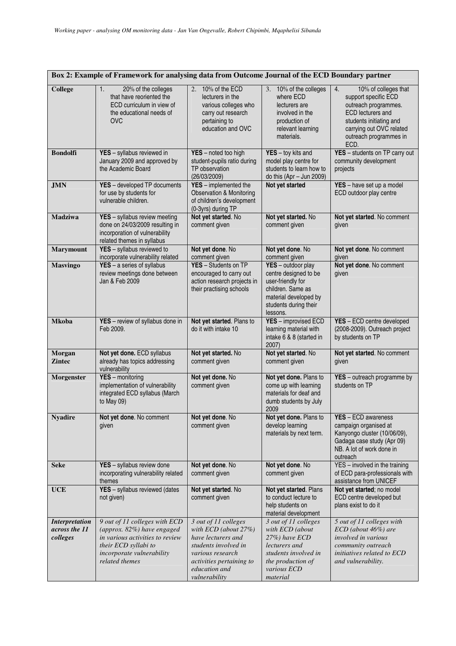| Box 2: Example of Framework for analysing data from Outcome Journal of the ECD Boundary partner |                                                                                                                                                                       |                                                                                                                                                                                |                                                                                                                                                                                                                                     |                                                                                                                                                                                                 |  |  |  |
|-------------------------------------------------------------------------------------------------|-----------------------------------------------------------------------------------------------------------------------------------------------------------------------|--------------------------------------------------------------------------------------------------------------------------------------------------------------------------------|-------------------------------------------------------------------------------------------------------------------------------------------------------------------------------------------------------------------------------------|-------------------------------------------------------------------------------------------------------------------------------------------------------------------------------------------------|--|--|--|
| <b>College</b>                                                                                  | 1.<br>20% of the colleges<br>that have reoriented the<br>ECD curriculum in view of<br>the educational needs of<br><b>OVC</b>                                          | 2. 10% of the ECD<br>lecturers in the<br>various colleges who<br>carry out research<br>pertaining to<br>education and OVC                                                      | 3. 10% of the colleges<br>where ECD<br>lecturers are<br>involved in the<br>production of<br>relevant learning<br>materials.                                                                                                         | 4.<br>10% of colleges that<br>support specific ECD<br>outreach programmes.<br><b>ECD</b> lecturers and<br>students initiating and<br>carrying out OVC related<br>outreach programmes in<br>ECD. |  |  |  |
| <b>Bondolfi</b>                                                                                 | YES - syllabus reviewed in<br>January 2009 and approved by<br>the Academic Board                                                                                      | YES - noted too high<br>student-pupils ratio during<br>TP observation<br>(26/03/2009)                                                                                          | $YES - toy$ kits and<br>model play centre for<br>students to learn how to<br>do this $(Apr - Jun 2009)$                                                                                                                             | YES - students on TP carry out<br>community development<br>projects                                                                                                                             |  |  |  |
| <b>JMN</b>                                                                                      | YES - developed TP documents<br>for use by students for<br>vulnerable children.                                                                                       | YES - implemented the<br><b>Observation &amp; Monitoring</b><br>of children's development<br>(0-3yrs) during TP                                                                | Not yet started                                                                                                                                                                                                                     | YES - have set up a model<br>ECD outdoor play centre                                                                                                                                            |  |  |  |
| <b>Madziwa</b>                                                                                  | YES - syllabus review meeting<br>done on 24/03/2009 resulting in<br>incorporation of vulnerability<br>related themes in syllabus                                      | Not yet started. No<br>comment given                                                                                                                                           | Not yet started. No<br>comment given                                                                                                                                                                                                | Not yet started. No comment<br>given                                                                                                                                                            |  |  |  |
| <b>Marymount</b>                                                                                | YES - syllabus reviewed to<br>incorporate vulnerability related                                                                                                       | Not yet done. No<br>comment given                                                                                                                                              | Not yet done. No<br>comment given                                                                                                                                                                                                   | Not yet done. No comment<br>given                                                                                                                                                               |  |  |  |
| <b>Masvingo</b>                                                                                 | $YES - a series of syllabus$<br>review meetings done between<br>Jan & Feb 2009                                                                                        | YES - Students on TP<br>encouraged to carry out<br>action research projects in<br>their practising schools                                                                     | YES - outdoor play<br>centre designed to be<br>user-friendly for<br>children. Same as<br>material developed by<br>students during their<br>lessons.                                                                                 | Not yet done. No comment<br>given                                                                                                                                                               |  |  |  |
| <b>Mkoba</b>                                                                                    | YES - review of syllabus done in<br>Feb 2009.                                                                                                                         | Not yet started. Plans to<br>do it with intake 10                                                                                                                              | YES - improvised ECD<br>learning material with<br>intake 6 & 8 (started in<br>2007)                                                                                                                                                 | YES - ECD centre developed<br>(2008-2009). Outreach project<br>by students on TP                                                                                                                |  |  |  |
| Morgan<br><b>Zintec</b>                                                                         | Not yet done. ECD syllabus<br>already has topics addressing<br>vulnerability                                                                                          | Not yet started. No<br>comment given                                                                                                                                           | Not yet started. No<br>comment given                                                                                                                                                                                                | Not yet started. No comment<br>given                                                                                                                                                            |  |  |  |
| Morgenster                                                                                      | YES - monitoring<br>implementation of vulnerability<br>integrated ECD syllabus (March<br>to May 09)                                                                   | Not yet done. No<br>comment given                                                                                                                                              | Not yet done. Plans to<br>come up with learning<br>materials for deaf and<br>dumb students by July<br>2009                                                                                                                          | YES - outreach programme by<br>students on TP                                                                                                                                                   |  |  |  |
| <b>Nyadire</b>                                                                                  | Not yet done. No comment<br>given                                                                                                                                     | Not yet done. No<br>comment given                                                                                                                                              | Not yet done. Plans to<br><b>YES</b> - ECD awareness<br>develop learning<br>campaign organised at<br>Kanyongo cluster (10/06/09),<br>materials by next term.<br>Gadaga case study (Apr 09)<br>NB. A lot of work done in<br>outreach |                                                                                                                                                                                                 |  |  |  |
| <b>Seke</b>                                                                                     | YES - syllabus review done<br>incorporating vulnerability related<br>themes                                                                                           | Not yet done. No<br>comment given                                                                                                                                              | Not yet done. No<br>comment given                                                                                                                                                                                                   | YES - involved in the training<br>of ECD para-professionals with<br>assistance from UNICEF                                                                                                      |  |  |  |
| <b>UCE</b>                                                                                      | YES - syllabus reviewed (dates<br>not given)                                                                                                                          | Not yet started. No<br>comment given                                                                                                                                           | Not yet started. Plans<br>to conduct lecture to<br>help students on<br>material development                                                                                                                                         | Not yet started; no model<br>ECD centre developed but<br>plans exist to do it                                                                                                                   |  |  |  |
| <b>Interpretation</b><br>across the 11<br>colleges                                              | 9 out of 11 colleges with ECD<br>(approx. 82%) have engaged<br>in various activities to review<br>their ECD syllabi to<br>incorporate vulnerability<br>related themes | 3 out of 11 colleges<br>with $ECD$ (about 27%)<br>have lecturers and<br>students involved in<br>various research<br>activities pertaining to<br>education and<br>vulnerability | 3 out of 11 colleges<br>with ECD (about<br>27%) have ECD<br>lecturers and<br>students involved in<br>the production of<br>various ECD<br>material                                                                                   | 5 out of 11 colleges with<br>ECD (about 46%) are<br><i>involved in various</i><br>community outreach<br>initiatives related to ECD<br>and vulnerability.                                        |  |  |  |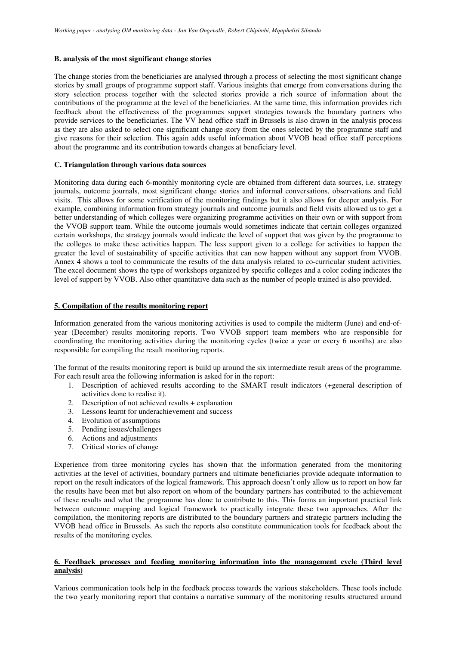### **B. analysis of the most significant change stories**

The change stories from the beneficiaries are analysed through a process of selecting the most significant change stories by small groups of programme support staff. Various insights that emerge from conversations during the story selection process together with the selected stories provide a rich source of information about the contributions of the programme at the level of the beneficiaries. At the same time, this information provides rich feedback about the effectiveness of the programmes support strategies towards the boundary partners who provide services to the beneficiaries. The VV head office staff in Brussels is also drawn in the analysis process as they are also asked to select one significant change story from the ones selected by the programme staff and give reasons for their selection. This again adds useful information about VVOB head office staff perceptions about the programme and its contribution towards changes at beneficiary level.

# **C. Triangulation through various data sources**

Monitoring data during each 6-monthly monitoring cycle are obtained from different data sources, i.e. strategy journals, outcome journals, most significant change stories and informal conversations, observations and field visits. This allows for some verification of the monitoring findings but it also allows for deeper analysis. For example, combining information from strategy journals and outcome journals and field visits allowed us to get a better understanding of which colleges were organizing programme activities on their own or with support from the VVOB support team. While the outcome journals would sometimes indicate that certain colleges organized certain workshops, the strategy journals would indicate the level of support that was given by the programme to the colleges to make these activities happen. The less support given to a college for activities to happen the greater the level of sustainability of specific activities that can now happen without any support from VVOB. Annex 4 shows a tool to communicate the results of the data analysis related to co-curricular student activities. The excel document shows the type of workshops organized by specific colleges and a color coding indicates the level of support by VVOB. Also other quantitative data such as the number of people trained is also provided.

# **5. Compilation of the results monitoring report**

Information generated from the various monitoring activities is used to compile the midterm (June) and end-ofyear (December) results monitoring reports. Two VVOB support team members who are responsible for coordinating the monitoring activities during the monitoring cycles (twice a year or every 6 months) are also responsible for compiling the result monitoring reports.

The format of the results monitoring report is build up around the six intermediate result areas of the programme. For each result area the following information is asked for in the report:

- 1. Description of achieved results according to the SMART result indicators (+general description of activities done to realise it).
- 2. Description of not achieved results + explanation
- 3. Lessons learnt for underachievement and success
- 4. Evolution of assumptions
- 5. Pending issues/challenges
- 6. Actions and adjustments
- 7. Critical stories of change

Experience from three monitoring cycles has shown that the information generated from the monitoring activities at the level of activities, boundary partners and ultimate beneficiaries provide adequate information to report on the result indicators of the logical framework. This approach doesn't only allow us to report on how far the results have been met but also report on whom of the boundary partners has contributed to the achievement of these results and what the programme has done to contribute to this. This forms an important practical link between outcome mapping and logical framework to practically integrate these two approaches. After the compilation, the monitoring reports are distributed to the boundary partners and strategic partners including the VVOB head office in Brussels. As such the reports also constitute communication tools for feedback about the results of the monitoring cycles.

### **6. Feedback processes and feeding monitoring information into the management cycle (Third level analysis)**

Various communication tools help in the feedback process towards the various stakeholders. These tools include the two yearly monitoring report that contains a narrative summary of the monitoring results structured around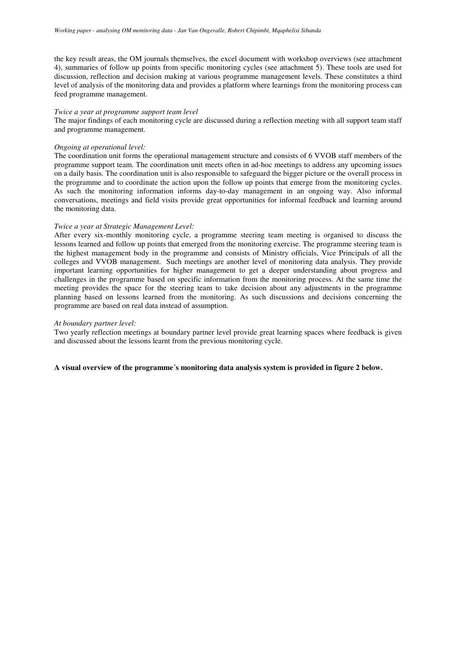the key result areas, the OM journals themselves, the excel document with workshop overviews (see attachment 4), summaries of follow up points from specific monitoring cycles (see attachment 5). These tools are used for discussion, reflection and decision making at various programme management levels. These constitutes a third level of analysis of the monitoring data and provides a platform where learnings from the monitoring process can feed programme management.

### *Twice a year at programme support team level*

The major findings of each monitoring cycle are discussed during a reflection meeting with all support team staff and programme management.

# *Ongoing at operational level:*

The coordination unit forms the operational management structure and consists of 6 VVOB staff members of the programme support team. The coordination unit meets often in ad-hoc meetings to address any upcoming issues on a daily basis. The coordination unit is also responsible to safeguard the bigger picture or the overall process in the programme and to coordinate the action upon the follow up points that emerge from the monitoring cycles. As such the monitoring information informs day-to-day management in an ongoing way. Also informal conversations, meetings and field visits provide great opportunities for informal feedback and learning around the monitoring data.

### *Twice a year at Strategic Management Level:*

After every six-monthly monitoring cycle, a programme steering team meeting is organised to discuss the lessons learned and follow up points that emerged from the monitoring exercise. The programme steering team is the highest management body in the programme and consists of Ministry officials, Vice Principals of all the colleges and VVOB management. Such meetings are another level of monitoring data analysis. They provide important learning opportunities for higher management to get a deeper understanding about progress and challenges in the programme based on specific information from the monitoring process. At the same time the meeting provides the space for the steering team to take decision about any adjustments in the programme planning based on lessons learned from the monitoring. As such discussions and decisions concerning the programme are based on real data instead of assumption.

# *At boundary partner level:*

Two yearly reflection meetings at boundary partner level provide great learning spaces where feedback is given and discussed about the lessons learnt from the previous monitoring cycle.

#### **A visual overview of the programme´s monitoring data analysis system is provided in figure 2 below.**